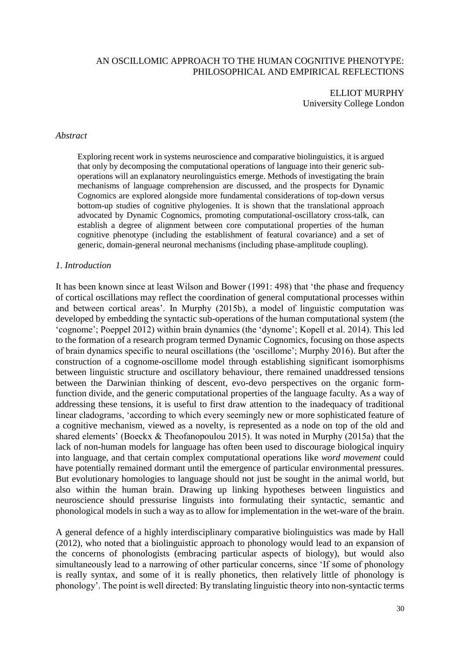### AN OSCILLOMIC APPROACH TO THE HUMAN COGNITIVE PHENOTYPE: PHILOSOPHICAL AND EMPIRICAL REFLECTIONS

ELLIOT MURPHY University College London

### *Abstract*

Exploring recent work in systems neuroscience and comparative biolinguistics, it is argued that only by decomposing the computational operations of language into their generic suboperations will an explanatory neurolinguistics emerge. Methods of investigating the brain mechanisms of language comprehension are discussed, and the prospects for Dynamic Cognomics are explored alongside more fundamental considerations of top-down versus bottom-up studies of cognitive phylogenies. It is shown that the translational approach advocated by Dynamic Cognomics, promoting computational-oscillatory cross-talk, can establish a degree of alignment between core computational properties of the human cognitive phenotype (including the establishment of featural covariance) and a set of generic, domain-general neuronal mechanisms (including phase-amplitude coupling).

### *1. Introduction*

It has been known since at least Wilson and Bower (1991: 498) that 'the phase and frequency of cortical oscillations may reflect the coordination of general computational processes within and between cortical areas'. In Murphy (2015b), a model of linguistic computation was developed by embedding the syntactic sub-operations of the human computational system (the 'cognome'; Poeppel 2012) within brain dynamics (the 'dynome'; Kopell et al. 2014). This led to the formation of a research program termed Dynamic Cognomics, focusing on those aspects of brain dynamics specific to neural oscillations (the 'oscillome'; Murphy 2016). But after the construction of a cognome-oscillome model through establishing significant isomorphisms between linguistic structure and oscillatory behaviour, there remained unaddressed tensions between the Darwinian thinking of descent, evo-devo perspectives on the organic formfunction divide, and the generic computational properties of the language faculty. As a way of addressing these tensions, it is useful to first draw attention to the inadequacy of traditional linear cladograms, 'according to which every seemingly new or more sophisticated feature of a cognitive mechanism, viewed as a novelty, is represented as a node on top of the old and shared elements' (Boeckx & Theofanopoulou 2015). It was noted in Murphy (2015a) that the lack of non-human models for language has often been used to discourage biological inquiry into language, and that certain complex computational operations like *word movement* could have potentially remained dormant until the emergence of particular environmental pressures. But evolutionary homologies to language should not just be sought in the animal world, but also within the human brain. Drawing up linking hypotheses between linguistics and neuroscience should pressurise linguists into formulating their syntactic, semantic and phonological models in such a way as to allow for implementation in the wet-ware of the brain.

A general defence of a highly interdisciplinary comparative biolinguistics was made by Hall (2012), who noted that a biolinguistic approach to phonology would lead to an expansion of the concerns of phonologists (embracing particular aspects of biology), but would also simultaneously lead to a narrowing of other particular concerns, since 'If some of phonology is really syntax, and some of it is really phonetics, then relatively little of phonology is phonology'. The point is well directed: By translating linguistic theory into non-syntactic terms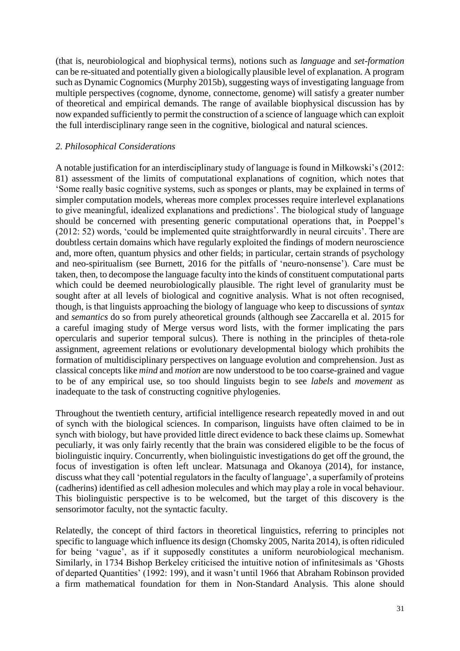(that is, neurobiological and biophysical terms), notions such as *language* and *set-formation*  can be re-situated and potentially given a biologically plausible level of explanation. A program such as Dynamic Cognomics (Murphy 2015b), suggesting ways of investigating language from multiple perspectives (cognome, dynome, connectome, genome) will satisfy a greater number of theoretical and empirical demands. The range of available biophysical discussion has by now expanded sufficiently to permit the construction of a science of language which can exploit the full interdisciplinary range seen in the cognitive, biological and natural sciences.

## *2. Philosophical Considerations*

A notable justification for an interdisciplinary study of language is found in Miłkowski's (2012: 81) assessment of the limits of computational explanations of cognition, which notes that 'Some really basic cognitive systems, such as sponges or plants, may be explained in terms of simpler computation models, whereas more complex processes require interlevel explanations to give meaningful, idealized explanations and predictions'. The biological study of language should be concerned with presenting generic computational operations that, in Poeppel's (2012: 52) words, 'could be implemented quite straightforwardly in neural circuits'. There are doubtless certain domains which have regularly exploited the findings of modern neuroscience and, more often, quantum physics and other fields; in particular, certain strands of psychology and neo-spiritualism (see Burnett, 2016 for the pitfalls of 'neuro-nonsense'). Care must be taken, then, to decompose the language faculty into the kinds of constituent computational parts which could be deemed neurobiologically plausible. The right level of granularity must be sought after at all levels of biological and cognitive analysis. What is not often recognised, though, is that linguists approaching the biology of language who keep to discussions of *syntax* and *semantics* do so from purely atheoretical grounds (although see Zaccarella et al. 2015 for a careful imaging study of Merge versus word lists, with the former implicating the pars opercularis and superior temporal sulcus). There is nothing in the principles of theta-role assignment, agreement relations or evolutionary developmental biology which prohibits the formation of multidisciplinary perspectives on language evolution and comprehension. Just as classical concepts like *mind* and *motion* are now understood to be too coarse-grained and vague to be of any empirical use, so too should linguists begin to see *labels* and *movement* as inadequate to the task of constructing cognitive phylogenies.

Throughout the twentieth century, artificial intelligence research repeatedly moved in and out of synch with the biological sciences. In comparison, linguists have often claimed to be in synch with biology, but have provided little direct evidence to back these claims up. Somewhat peculiarly, it was only fairly recently that the brain was considered eligible to be the focus of biolinguistic inquiry. Concurrently, when biolinguistic investigations do get off the ground, the focus of investigation is often left unclear. Matsunaga and Okanoya (2014), for instance, discuss what they call 'potential regulators in the faculty of language', a superfamily of proteins (cadherins) identified as cell adhesion molecules and which may play a role in vocal behaviour. This biolinguistic perspective is to be welcomed, but the target of this discovery is the sensorimotor faculty, not the syntactic faculty.

Relatedly, the concept of third factors in theoretical linguistics, referring to principles not specific to language which influence its design (Chomsky 2005, Narita 2014), is often ridiculed for being 'vague', as if it supposedly constitutes a uniform neurobiological mechanism. Similarly, in 1734 Bishop Berkeley criticised the intuitive notion of infinitesimals as 'Ghosts of departed Quantities' (1992: 199), and it wasn't until 1966 that Abraham Robinson provided a firm mathematical foundation for them in Non-Standard Analysis. This alone should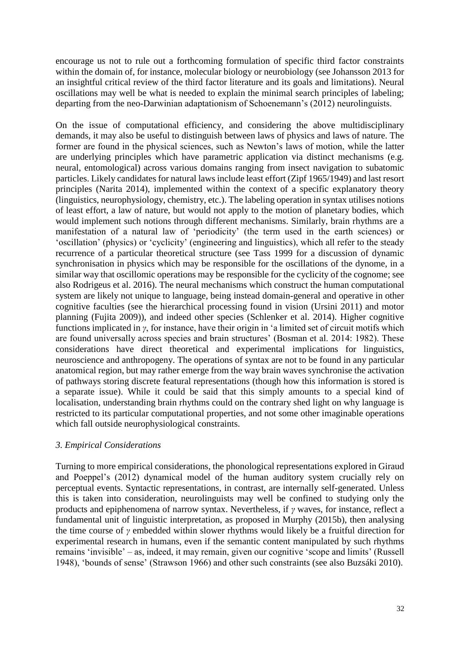encourage us not to rule out a forthcoming formulation of specific third factor constraints within the domain of, for instance, molecular biology or neurobiology (see Johansson 2013 for an insightful critical review of the third factor literature and its goals and limitations). Neural oscillations may well be what is needed to explain the minimal search principles of labeling; departing from the neo-Darwinian adaptationism of Schoenemann's (2012) neurolinguists.

On the issue of computational efficiency, and considering the above multidisciplinary demands, it may also be useful to distinguish between laws of physics and laws of nature. The former are found in the physical sciences, such as Newton's laws of motion, while the latter are underlying principles which have parametric application via distinct mechanisms (e.g. neural, entomological) across various domains ranging from insect navigation to subatomic particles. Likely candidates for natural laws include least effort (Zipf 1965/1949) and last resort principles (Narita 2014), implemented within the context of a specific explanatory theory (linguistics, neurophysiology, chemistry, etc.). The labeling operation in syntax utilises notions of least effort, a law of nature, but would not apply to the motion of planetary bodies, which would implement such notions through different mechanisms. Similarly, brain rhythms are a manifestation of a natural law of 'periodicity' (the term used in the earth sciences) or 'oscillation' (physics) or 'cyclicity' (engineering and linguistics), which all refer to the steady recurrence of a particular theoretical structure (see Tass 1999 for a discussion of dynamic synchronisation in physics which may be responsible for the oscillations of the dynome, in a similar way that oscillomic operations may be responsible for the cyclicity of the cognome; see also Rodrigeus et al. 2016). The neural mechanisms which construct the human computational system are likely not unique to language, being instead domain-general and operative in other cognitive faculties (see the hierarchical processing found in vision (Ursini 2011) and motor planning (Fujita 2009)), and indeed other species (Schlenker et al. 2014). Higher cognitive functions implicated in *γ*, for instance, have their origin in 'a limited set of circuit motifs which are found universally across species and brain structures' (Bosman et al. 2014: 1982). These considerations have direct theoretical and experimental implications for linguistics, neuroscience and anthropogeny. The operations of syntax are not to be found in any particular anatomical region, but may rather emerge from the way brain waves synchronise the activation of pathways storing discrete featural representations (though how this information is stored is a separate issue). While it could be said that this simply amounts to a special kind of localisation, understanding brain rhythms could on the contrary shed light on why language is restricted to its particular computational properties, and not some other imaginable operations which fall outside neurophysiological constraints.

# *3. Empirical Considerations*

Turning to more empirical considerations, the phonological representations explored in Giraud and Poeppel's (2012) dynamical model of the human auditory system crucially rely on perceptual events. Syntactic representations, in contrast, are internally self-generated. Unless this is taken into consideration, neurolinguists may well be confined to studying only the products and epiphenomena of narrow syntax. Nevertheless, if *γ* waves, for instance, reflect a fundamental unit of linguistic interpretation, as proposed in Murphy (2015b), then analysing the time course of *γ* embedded within slower rhythms would likely be a fruitful direction for experimental research in humans, even if the semantic content manipulated by such rhythms remains 'invisible' – as, indeed, it may remain, given our cognitive 'scope and limits' (Russell 1948), 'bounds of sense' (Strawson 1966) and other such constraints (see also Buzsáki 2010).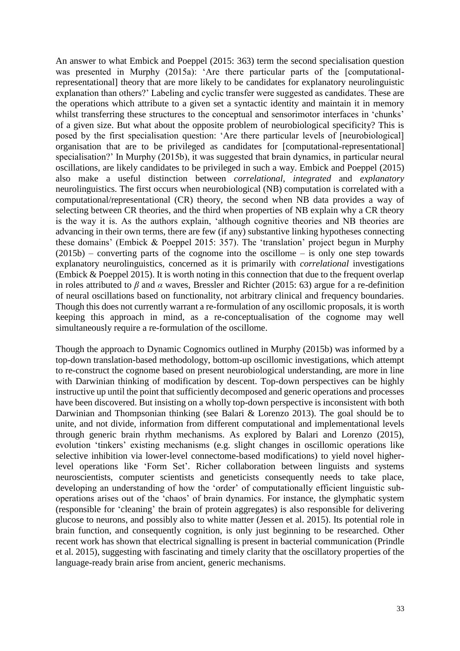An answer to what Embick and Poeppel (2015: 363) term the second specialisation question was presented in Murphy (2015a): 'Are there particular parts of the [computationalrepresentational] theory that are more likely to be candidates for explanatory neurolinguistic explanation than others?' Labeling and cyclic transfer were suggested as candidates. These are the operations which attribute to a given set a syntactic identity and maintain it in memory whilst transferring these structures to the conceptual and sensorimotor interfaces in 'chunks' of a given size. But what about the opposite problem of neurobiological specificity? This is posed by the first specialisation question: 'Are there particular levels of [neurobiological] organisation that are to be privileged as candidates for [computational-representational] specialisation?' In Murphy (2015b), it was suggested that brain dynamics, in particular neural oscillations, are likely candidates to be privileged in such a way. Embick and Poeppel (2015) also make a useful distinction between *correlational*, *integrated* and *explanatory*  neurolinguistics. The first occurs when neurobiological (NB) computation is correlated with a computational/representational (CR) theory, the second when NB data provides a way of selecting between CR theories, and the third when properties of NB explain why a CR theory is the way it is. As the authors explain, 'although cognitive theories and NB theories are advancing in their own terms, there are few (if any) substantive linking hypotheses connecting these domains' (Embick & Poeppel 2015: 357). The 'translation' project begun in Murphy  $(2015b)$  – converting parts of the cognome into the oscillome – is only one step towards explanatory neurolinguistics, concerned as it is primarily with *correlational* investigations (Embick & Poeppel 2015). It is worth noting in this connection that due to the frequent overlap in roles attributed to *β* and *α* waves, Bressler and Richter (2015: 63) argue for a re-definition of neural oscillations based on functionality, not arbitrary clinical and frequency boundaries. Though this does not currently warrant a re-formulation of any oscillomic proposals, it is worth keeping this approach in mind, as a re-conceptualisation of the cognome may well simultaneously require a re-formulation of the oscillome.

Though the approach to Dynamic Cognomics outlined in Murphy (2015b) was informed by a top-down translation-based methodology, bottom-up oscillomic investigations, which attempt to re-construct the cognome based on present neurobiological understanding, are more in line with Darwinian thinking of modification by descent. Top-down perspectives can be highly instructive up until the point that sufficiently decomposed and generic operations and processes have been discovered. But insisting on a wholly top-down perspective is inconsistent with both Darwinian and Thompsonian thinking (see Balari & Lorenzo 2013). The goal should be to unite, and not divide, information from different computational and implementational levels through generic brain rhythm mechanisms. As explored by Balari and Lorenzo (2015), evolution 'tinkers' existing mechanisms (e.g. slight changes in oscillomic operations like selective inhibition via lower-level connectome-based modifications) to yield novel higherlevel operations like 'Form Set'. Richer collaboration between linguists and systems neuroscientists, computer scientists and geneticists consequently needs to take place, developing an understanding of how the 'order' of computationally efficient linguistic suboperations arises out of the 'chaos' of brain dynamics. For instance, the glymphatic system (responsible for 'cleaning' the brain of protein aggregates) is also responsible for delivering glucose to neurons, and possibly also to white matter (Jessen et al. 2015). Its potential role in brain function, and consequently cognition, is only just beginning to be researched. Other recent work has shown that electrical signalling is present in bacterial communication (Prindle et al. 2015), suggesting with fascinating and timely clarity that the oscillatory properties of the language-ready brain arise from ancient, generic mechanisms.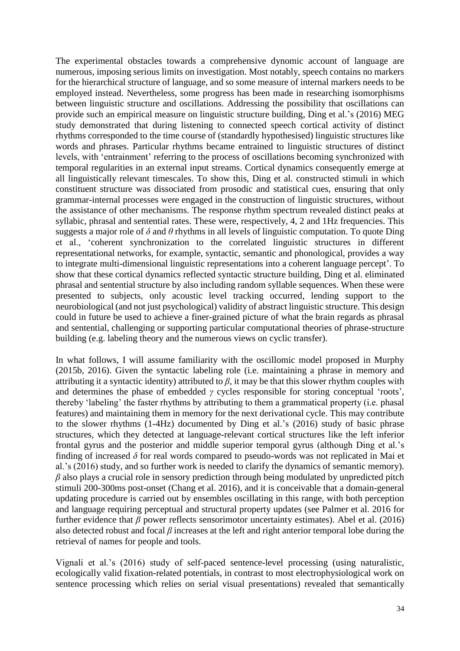The experimental obstacles towards a comprehensive dynomic account of language are numerous, imposing serious limits on investigation. Most notably, speech contains no markers for the hierarchical structure of language, and so some measure of internal markers needs to be employed instead. Nevertheless, some progress has been made in researching isomorphisms between linguistic structure and oscillations. Addressing the possibility that oscillations can provide such an empirical measure on linguistic structure building, Ding et al.'s (2016) MEG study demonstrated that during listening to connected speech cortical activity of distinct rhythms corresponded to the time course of (standardly hypothesised) linguistic structures like words and phrases. Particular rhythms became entrained to linguistic structures of distinct levels, with 'entrainment' referring to the process of oscillations becoming synchronized with temporal regularities in an external input streams. Cortical dynamics consequently emerge at all linguistically relevant timescales. To show this, Ding et al. constructed stimuli in which constituent structure was dissociated from prosodic and statistical cues, ensuring that only grammar-internal processes were engaged in the construction of linguistic structures, without the assistance of other mechanisms. The response rhythm spectrum revealed distinct peaks at syllabic, phrasal and sentential rates. These were, respectively, 4, 2 and 1Hz frequencies. This suggests a major role of  $\delta$  and  $\theta$  rhythms in all levels of linguistic computation. To quote Ding et al., 'coherent synchronization to the correlated linguistic structures in different representational networks, for example, syntactic, semantic and phonological, provides a way to integrate multi-dimensional linguistic representations into a coherent language percept'. To show that these cortical dynamics reflected syntactic structure building, Ding et al. eliminated phrasal and sentential structure by also including random syllable sequences. When these were presented to subjects, only acoustic level tracking occurred, lending support to the neurobiological (and not just psychological) validity of abstract linguistic structure. This design could in future be used to achieve a finer-grained picture of what the brain regards as phrasal and sentential, challenging or supporting particular computational theories of phrase-structure building (e.g. labeling theory and the numerous views on cyclic transfer).

In what follows, I will assume familiarity with the oscillomic model proposed in Murphy (2015b, 2016). Given the syntactic labeling role (i.e. maintaining a phrase in memory and attributing it a syntactic identity) attributed to *β*, it may be that this slower rhythm couples with and determines the phase of embedded *γ* cycles responsible for storing conceptual 'roots', thereby 'labeling' the faster rhythms by attributing to them a grammatical property (i.e. phasal features) and maintaining them in memory for the next derivational cycle. This may contribute to the slower rhythms (1-4Hz) documented by Ding et al.'s (2016) study of basic phrase structures, which they detected at language-relevant cortical structures like the left inferior frontal gyrus and the posterior and middle superior temporal gyrus (although Ding et al.'s finding of increased *δ* for real words compared to pseudo-words was not replicated in Mai et al.'s (2016) study, and so further work is needed to clarify the dynamics of semantic memory). *β* also plays a crucial role in sensory prediction through being modulated by unpredicted pitch stimuli 200-300ms post-onset (Chang et al. 2016), and it is conceivable that a domain-general updating procedure is carried out by ensembles oscillating in this range, with both perception and language requiring perceptual and structural property updates (see Palmer et al. 2016 for further evidence that  $\beta$  power reflects sensorimotor uncertainty estimates). Abel et al. (2016) also detected robust and focal *β* increases at the left and right anterior temporal lobe during the retrieval of names for people and tools.

Vignali et al.'s (2016) study of self-paced sentence-level processing (using naturalistic, ecologically valid fixation-related potentials, in contrast to most electrophysiological work on sentence processing which relies on serial visual presentations) revealed that semantically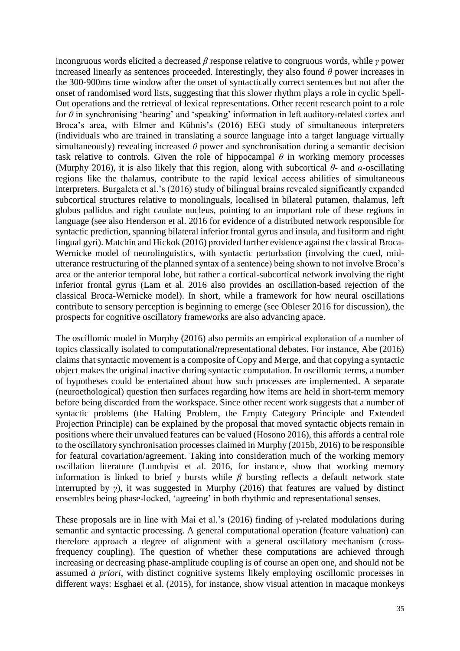incongruous words elicited a decreased *β* response relative to congruous words, while *γ* power increased linearly as sentences proceeded. Interestingly, they also found  $\theta$  power increases in the 300-900ms time window after the onset of syntactically correct sentences but not after the onset of randomised word lists, suggesting that this slower rhythm plays a role in cyclic Spell-Out operations and the retrieval of lexical representations. Other recent research point to a role for *θ* in synchronising 'hearing' and 'speaking' information in left auditory-related cortex and Broca's area, with Elmer and Kühnis's (2016) EEG study of simultaneous interpreters (individuals who are trained in translating a source language into a target language virtually simultaneously) revealing increased *θ* power and synchronisation during a semantic decision task relative to controls. Given the role of hippocampal  $\theta$  in working memory processes (Murphy 2016), it is also likely that this region, along with subcortical *θ*- and *α*-oscillating regions like the thalamus, contribute to the rapid lexical access abilities of simultaneous interpreters. Burgaleta et al.'s (2016) study of bilingual brains revealed significantly expanded subcortical structures relative to monolinguals, localised in bilateral putamen, thalamus, left globus pallidus and right caudate nucleus, pointing to an important role of these regions in language (see also Henderson et al. 2016 for evidence of a distributed network responsible for syntactic prediction, spanning bilateral inferior frontal gyrus and insula, and fusiform and right lingual gyri). Matchin and Hickok (2016) provided further evidence against the classical Broca-Wernicke model of neurolinguistics, with syntactic perturbation (involving the cued, midutterance restructuring of the planned syntax of a sentence) being shown to not involve Broca's area or the anterior temporal lobe, but rather a cortical-subcortical network involving the right inferior frontal gyrus (Lam et al. 2016 also provides an oscillation-based rejection of the classical Broca-Wernicke model). In short, while a framework for how neural oscillations contribute to sensory perception is beginning to emerge (see Obleser 2016 for discussion), the prospects for cognitive oscillatory frameworks are also advancing apace.

The oscillomic model in Murphy (2016) also permits an empirical exploration of a number of topics classically isolated to computational/representational debates. For instance, Abe (2016) claims that syntactic movement is a composite of Copy and Merge, and that copying a syntactic object makes the original inactive during syntactic computation. In oscillomic terms, a number of hypotheses could be entertained about how such processes are implemented. A separate (neuroethological) question then surfaces regarding how items are held in short-term memory before being discarded from the workspace. Since other recent work suggests that a number of syntactic problems (the Halting Problem, the Empty Category Principle and Extended Projection Principle) can be explained by the proposal that moved syntactic objects remain in positions where their unvalued features can be valued (Hosono 2016), this affords a central role to the oscillatory synchronisation processes claimed in Murphy (2015b, 2016) to be responsible for featural covariation/agreement. Taking into consideration much of the working memory oscillation literature (Lundqvist et al. 2016, for instance, show that working memory information is linked to brief  $\gamma$  bursts while  $\beta$  bursting reflects a default network state interrupted by *γ*), it was suggested in Murphy (2016) that features are valued by distinct ensembles being phase-locked, 'agreeing' in both rhythmic and representational senses.

These proposals are in line with Mai et al.'s (2016) finding of *γ*-related modulations during semantic and syntactic processing. A general computational operation (feature valuation) can therefore approach a degree of alignment with a general oscillatory mechanism (crossfrequency coupling). The question of whether these computations are achieved through increasing or decreasing phase-amplitude coupling is of course an open one, and should not be assumed *a priori*, with distinct cognitive systems likely employing oscillomic processes in different ways: Esghaei et al. (2015), for instance, show visual attention in macaque monkeys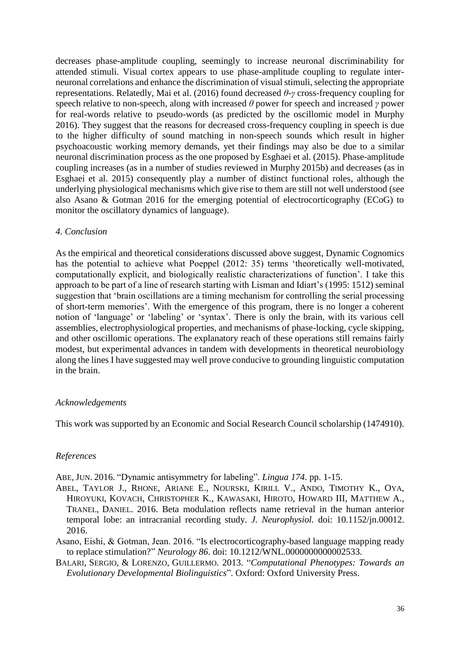decreases phase-amplitude coupling, seemingly to increase neuronal discriminability for attended stimuli. Visual cortex appears to use phase-amplitude coupling to regulate interneuronal correlations and enhance the discrimination of visual stimuli, selecting the appropriate representations. Relatedly, Mai et al. (2016) found decreased *θ-γ* cross-frequency coupling for speech relative to non-speech, along with increased *θ* power for speech and increased *γ* power for real-words relative to pseudo-words (as predicted by the oscillomic model in Murphy 2016). They suggest that the reasons for decreased cross-frequency coupling in speech is due to the higher difficulty of sound matching in non-speech sounds which result in higher psychoacoustic working memory demands, yet their findings may also be due to a similar neuronal discrimination process as the one proposed by Esghaei et al. (2015). Phase-amplitude coupling increases (as in a number of studies reviewed in Murphy 2015b) and decreases (as in Esghaei et al. 2015) consequently play a number of distinct functional roles, although the underlying physiological mechanisms which give rise to them are still not well understood (see also Asano & Gotman 2016 for the emerging potential of electrocorticography (ECoG) to monitor the oscillatory dynamics of language).

### *4. Conclusion*

As the empirical and theoretical considerations discussed above suggest, Dynamic Cognomics has the potential to achieve what Poeppel (2012: 35) terms 'theoretically well-motivated, computationally explicit, and biologically realistic characterizations of function'. I take this approach to be part of a line of research starting with Lisman and Idiart's (1995: 1512) seminal suggestion that 'brain oscillations are a timing mechanism for controlling the serial processing of short-term memories'. With the emergence of this program, there is no longer a coherent notion of 'language' or 'labeling' or 'syntax'. There is only the brain, with its various cell assemblies, electrophysiological properties, and mechanisms of phase-locking, cycle skipping, and other oscillomic operations. The explanatory reach of these operations still remains fairly modest, but experimental advances in tandem with developments in theoretical neurobiology along the lines I have suggested may well prove conducive to grounding linguistic computation in the brain.

### *Acknowledgements*

This work was supported by an Economic and Social Research Council scholarship (1474910).

## *References*

ABE, JUN. 2016. "Dynamic antisymmetry for labeling". *Lingua 174*. pp. 1-15.

- ABEL, TAYLOR J., RHONE, ARIANE E., NOURSKI, KIRILL V., ANDO, TIMOTHY K., OYA, HIROYUKI, KOVACH, CHRISTOPHER K., KAWASAKI, HIROTO, HOWARD III, MATTHEW A., TRANEL, DANIEL. 2016. Beta modulation reflects name retrieval in the human anterior temporal lobe: an intracranial recording study. *J. Neurophysiol.* doi: 10.1152/jn.00012. 2016.
- Asano, Eishi, & Gotman, Jean. 2016. "Is electrocorticography-based language mapping ready to replace stimulation?" *Neurology 86*. doi: 10.1212/WNL.0000000000002533.
- BALARI, SERGIO, & LORENZO, GUILLERMO. 2013. "*Computational Phenotypes: Towards an Evolutionary Developmental Biolinguistics*". Oxford: Oxford University Press.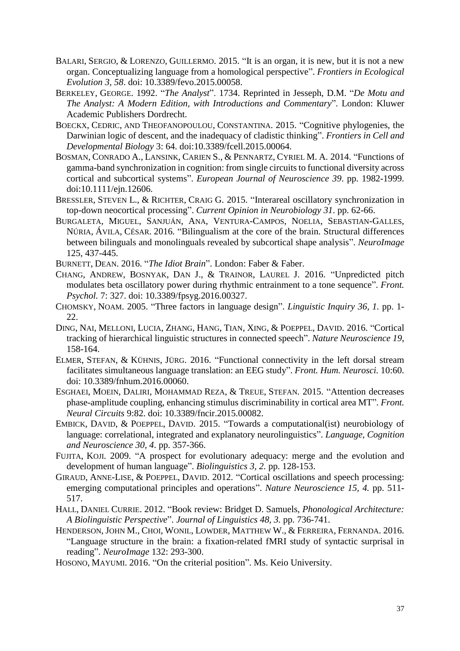- BALARI, SERGIO, & LORENZO, GUILLERMO. 2015. "It is an organ, it is new, but it is not a new organ. Conceptualizing language from a homological perspective". *Frontiers in Ecological Evolution 3, 58*. doi: 10.3389/fevo.2015.00058.
- BERKELEY, GEORGE. 1992. "*The Analyst*". 1734. Reprinted in Jesseph, D.M. "*De Motu and The Analyst: A Modern Edition, with Introductions and Commentary*". London: Kluwer Academic Publishers Dordrecht.
- BOECKX, CEDRIC, AND THEOFANOPOULOU, CONSTANTINA. 2015. "Cognitive phylogenies, the Darwinian logic of descent, and the inadequacy of cladistic thinking". *Frontiers in Cell and Developmental Biology* 3: 64. doi:10.3389/fcell.2015.00064.
- BOSMAN, CONRADO A., LANSINK, CARIEN S., & PENNARTZ, CYRIEL M. A. 2014. "Functions of gamma-band synchronization in cognition: from single circuits to functional diversity across cortical and subcortical systems". *European Journal of Neuroscience 39*. pp. 1982-1999. doi:10.1111/ejn.12606.
- BRESSLER, STEVEN L., & RICHTER, CRAIG G. 2015. "Interareal oscillatory synchronization in top-down neocortical processing". *Current Opinion in Neurobiology 31*. pp. 62-66.
- BURGALETA, MIGUEL, SANJUÁN, ANA, VENTURA-CAMPOS, NOELIA, SEBASTIAN-GALLES, NÚRIA, ÁVILA, CÉSAR. 2016. "Bilingualism at the core of the brain. Structural differences between bilinguals and monolinguals revealed by subcortical shape analysis". *NeuroImage* 125, 437-445.
- BURNETT, DEAN. 2016. "*The Idiot Brain*". London: Faber & Faber.
- CHANG, ANDREW, BOSNYAK, DAN J., & TRAINOR, LAUREL J. 2016. "Unpredicted pitch modulates beta oscillatory power during rhythmic entrainment to a tone sequence". *Front. Psychol.* 7: 327. doi: 10.3389/fpsyg.2016.00327.
- CHOMSKY, NOAM. 2005. "Three factors in language design". *Linguistic Inquiry 36, 1.* pp. 1- 22.
- DING, NAI, MELLONI, LUCIA, ZHANG, HANG, TIAN, XING, & POEPPEL, DAVID. 2016. "Cortical tracking of hierarchical linguistic structures in connected speech". *Nature Neuroscience 19*, 158-164.
- ELMER, STEFAN, & KÜHNIS, JÜRG. 2016. "Functional connectivity in the left dorsal stream facilitates simultaneous language translation: an EEG study". *Front. Hum. Neurosci.* 10:60. doi: 10.3389/fnhum.2016.00060.
- ESGHAEI, MOEIN, DALIRI, MOHAMMAD REZA, & TREUE, STEFAN. 2015. "Attention decreases phase-amplitude coupling, enhancing stimulus discriminability in cortical area MT". *Front. Neural Circuits* 9:82. doi: 10.3389/fncir.2015.00082.
- EMBICK, DAVID, & POEPPEL, DAVID. 2015. "Towards a computational(ist) neurobiology of language: correlational, integrated and explanatory neurolinguistics". *Language, Cognition and Neuroscience 30, 4*. pp. 357-366.
- FUJITA, KOJI. 2009. "A prospect for evolutionary adequacy: merge and the evolution and development of human language". *Biolinguistics 3, 2.* pp. 128-153.
- GIRAUD, ANNE-LISE, & POEPPEL, DAVID. 2012. "Cortical oscillations and speech processing: emerging computational principles and operations". *Nature Neuroscience 15, 4.* pp. 511- 517.
- HALL, DANIEL CURRIE. 2012. "Book review: Bridget D. Samuels, *Phonological Architecture: A Biolinguistic Perspective*". *Journal of Linguistics 48, 3.* pp. 736-741.
- HENDERSON, JOHN M., CHOI, WONIL, LOWDER, MATTHEW W., & FERREIRA, FERNANDA. 2016. "Language structure in the brain: a fixation-related fMRI study of syntactic surprisal in reading". *NeuroImage* 132: 293-300.
- HOSONO, MAYUMI. 2016. "On the criterial position". Ms. Keio University.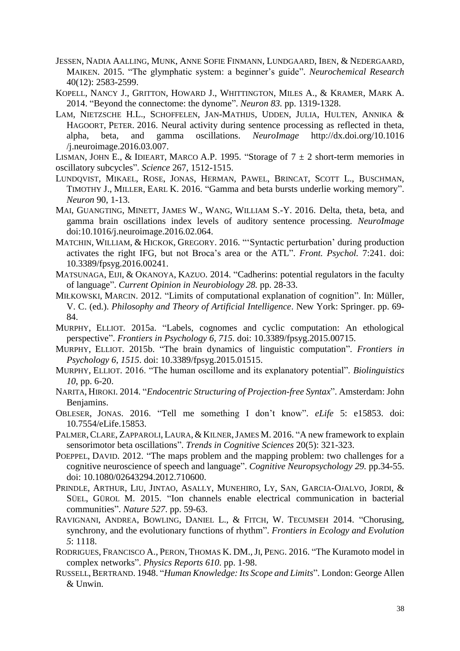- JESSEN, NADIA AALLING, MUNK, ANNE SOFIE FINMANN, LUNDGAARD, IBEN, & NEDERGAARD, MAIKEN. 2015. "The glymphatic system: a beginner's guide". *Neurochemical Research* 40(12): 2583-2599.
- KOPELL, NANCY J., GRITTON, HOWARD J., WHITTINGTON, MILES A., & KRAMER, MARK A. 2014. "Beyond the connectome: the dynome". *Neuron 83.* pp. 1319-1328.
- LAM, NIETZSCHE H.L., SCHOFFELEN, JAN-MATHIJS, UDDEN, JULIA, HULTEN, ANNIKA & HAGOORT, PETER. 2016. Neural activity during sentence processing as reflected in theta, alpha, beta, and gamma oscillations. *NeuroImage* http://dx.doi.org/10.1016 /j.neuroimage.2016.03.007.
- LISMAN, JOHN E., & IDIEART, MARCO A.P. 1995. "Storage of  $7 \pm 2$  short-term memories in oscillatory subcycles". *Science* 267, 1512-1515.
- LUNDQVIST, MIKAEL, ROSE, JONAS, HERMAN, PAWEL, BRINCAT, SCOTT L., BUSCHMAN, TIMOTHY J., MILLER, EARL K. 2016. "Gamma and beta bursts underlie working memory". *Neuron* 90, 1-13.
- MAI, GUANGTING, MINETT, JAMES W., WANG, WILLIAM S.-Y. 2016. Delta, theta, beta, and gamma brain oscillations index levels of auditory sentence processing. *NeuroImage* doi:10.1016/j.neuroimage.2016.02.064.
- MATCHIN, WILLIAM, & HICKOK, GREGORY. 2016. "'Syntactic perturbation' during production activates the right IFG, but not Broca's area or the ATL". *Front. Psychol.* 7:241. doi: 10.3389/fpsyg.2016.00241.
- MATSUNAGA, EIJI, & OKANOYA, KAZUO. 2014. "Cadherins: potential regulators in the faculty of language". *Current Opinion in Neurobiology 28.* pp. 28-33.
- MIŁKOWSKI, MARCIN. 2012. "Limits of computational explanation of cognition". In: Müller, V. C. (ed.). *Philosophy and Theory of Artificial Intelligence*. New York: Springer. pp. 69- 84.
- MURPHY, ELLIOT. 2015a. "Labels, cognomes and cyclic computation: An ethological perspective". *Frontiers in Psychology 6, 715.* doi: 10.3389/fpsyg.2015.00715.
- MURPHY, ELLIOT. 2015b. "The brain dynamics of linguistic computation". *Frontiers in Psychology 6, 1515*. doi: 10.3389/fpsyg.2015.01515.
- MURPHY, ELLIOT. 2016. "The human oscillome and its explanatory potential". *Biolinguistics 10*, pp. 6-20.
- NARITA, HIROKI. 2014. "*Endocentric Structuring of Projection-free Syntax*". Amsterdam: John Benjamins.
- OBLESER, JONAS. 2016. "Tell me something I don't know". *eLife* 5: e15853. doi: 10.7554/eLife.15853.
- PALMER, CLARE, ZAPPAROLI, LAURA, & KILNER, JAMES M. 2016. "A new framework to explain sensorimotor beta oscillations". *Trends in Cognitive Sciences* 20(5): 321-323.
- POEPPEL, DAVID. 2012. "The maps problem and the mapping problem: two challenges for a cognitive neuroscience of speech and language". *Cognitive Neuropsychology 29.* pp.34-55. doi: 10.1080/02643294.2012.710600.
- PRINDLE, ARTHUR, LIU, JINTAO, ASALLY, MUNEHIRO, LY, SAN, GARCIA-OJALVO, JORDI, & SÜEL, GÜROL M. 2015. "Ion channels enable electrical communication in bacterial communities". *Nature 527*. pp. 59-63.
- RAVIGNANI, ANDREA, BOWLING, DANIEL L., & FITCH, W. TECUMSEH 2014. "Chorusing, synchrony, and the evolutionary functions of rhythm". *Frontiers in Ecology and Evolution 5*: 1118.
- RODRIGUES, FRANCISCO A., PERON, THOMAS K. DM.,JI, PENG. 2016. "The Kuramoto model in complex networks". *Physics Reports 610*. pp. 1-98.
- RUSSELL,BERTRAND. 1948. "*Human Knowledge: Its Scope and Limits*". London: George Allen & Unwin.